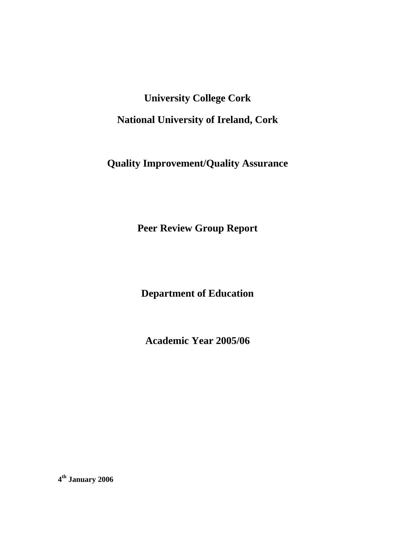**University College Cork National University of Ireland, Cork** 

**Quality Improvement/Quality Assurance** 

**Peer Review Group Report** 

**Department of Education** 

**Academic Year 2005/06** 

**4th January 2006**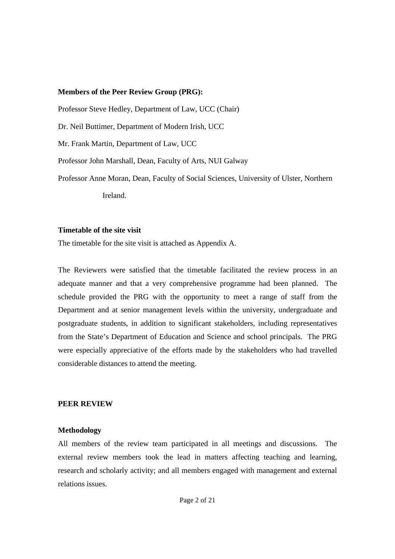#### **Members of the Peer Review Group (PRG):**

Professor Steve Hedley, Department of Law, UCC (Chair)

Dr. Neil Buttimer, Department of Modern Irish, UCC

Mr. Frank Martin, Department of Law, UCC

Professor John Marshall, Dean, Faculty of Arts, NUI Galway

Professor Anne Moran, Dean, Faculty of Social Sciences, University of Ulster, Northern Ireland.

#### **Timetable of the site visit**

The timetable for the site visit is attached as Appendix A.

The Reviewers were satisfied that the timetable facilitated the review process in an adequate manner and that a very comprehensive programme had been planned. The schedule provided the PRG with the opportunity to meet a range of staff from the Department and at senior management levels within the university, undergraduate and postgraduate students, in addition to significant stakeholders, including representatives from the State's Department of Education and Science and school principals. The PRG were especially appreciative of the efforts made by the stakeholders who had travelled considerable distances to attend the meeting.

#### **PEER REVIEW**

#### **Methodology**

All members of the review team participated in all meetings and discussions. The external review members took the lead in matters affecting teaching and learning, research and scholarly activity; and all members engaged with management and external relations issues.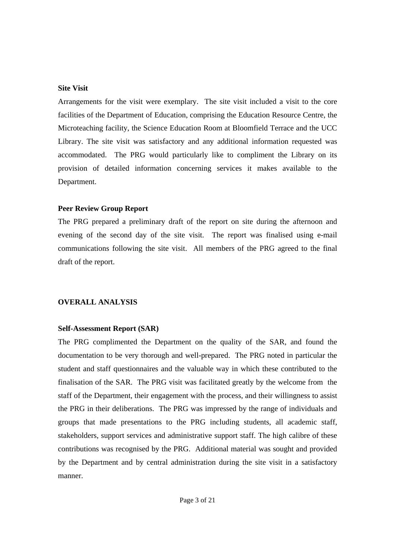#### **Site Visit**

Arrangements for the visit were exemplary. The site visit included a visit to the core facilities of the Department of Education, comprising the Education Resource Centre, the Microteaching facility, the Science Education Room at Bloomfield Terrace and the UCC Library. The site visit was satisfactory and any additional information requested was accommodated. The PRG would particularly like to compliment the Library on its provision of detailed information concerning services it makes available to the Department.

# **Peer Review Group Report**

The PRG prepared a preliminary draft of the report on site during the afternoon and evening of the second day of the site visit. The report was finalised using e-mail communications following the site visit. All members of the PRG agreed to the final draft of the report.

# **OVERALL ANALYSIS**

## **Self-Assessment Report (SAR)**

The PRG complimented the Department on the quality of the SAR, and found the documentation to be very thorough and well-prepared. The PRG noted in particular the student and staff questionnaires and the valuable way in which these contributed to the finalisation of the SAR. The PRG visit was facilitated greatly by the welcome from the staff of the Department, their engagement with the process, and their willingness to assist the PRG in their deliberations. The PRG was impressed by the range of individuals and groups that made presentations to the PRG including students, all academic staff, stakeholders, support services and administrative support staff. The high calibre of these contributions was recognised by the PRG. Additional material was sought and provided by the Department and by central administration during the site visit in a satisfactory manner.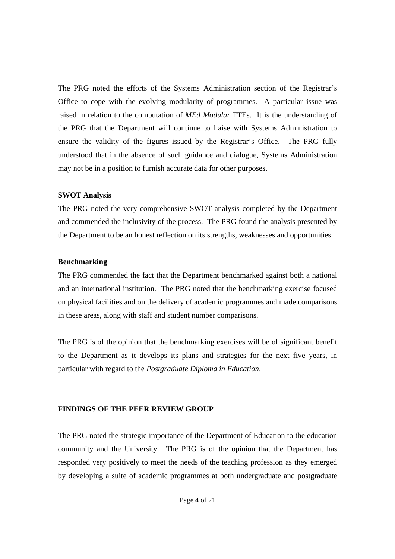The PRG noted the efforts of the Systems Administration section of the Registrar's Office to cope with the evolving modularity of programmes. A particular issue was raised in relation to the computation of *MEd Modular* FTEs. It is the understanding of the PRG that the Department will continue to liaise with Systems Administration to ensure the validity of the figures issued by the Registrar's Office. The PRG fully understood that in the absence of such guidance and dialogue, Systems Administration may not be in a position to furnish accurate data for other purposes.

#### **SWOT Analysis**

The PRG noted the very comprehensive SWOT analysis completed by the Department and commended the inclusivity of the process. The PRG found the analysis presented by the Department to be an honest reflection on its strengths, weaknesses and opportunities.

# **Benchmarking**

The PRG commended the fact that the Department benchmarked against both a national and an international institution. The PRG noted that the benchmarking exercise focused on physical facilities and on the delivery of academic programmes and made comparisons in these areas, along with staff and student number comparisons.

The PRG is of the opinion that the benchmarking exercises will be of significant benefit to the Department as it develops its plans and strategies for the next five years, in particular with regard to the *Postgraduate Diploma in Education*.

# **FINDINGS OF THE PEER REVIEW GROUP**

The PRG noted the strategic importance of the Department of Education to the education community and the University. The PRG is of the opinion that the Department has responded very positively to meet the needs of the teaching profession as they emerged by developing a suite of academic programmes at both undergraduate and postgraduate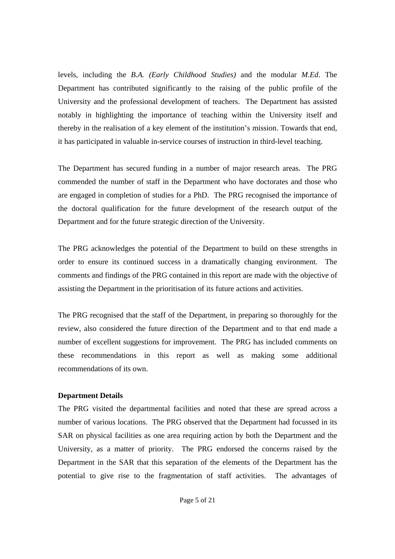levels, including the *B.A. (Early Childhood Studies)* and the modular *M.Ed*. The Department has contributed significantly to the raising of the public profile of the University and the professional development of teachers. The Department has assisted notably in highlighting the importance of teaching within the University itself and thereby in the realisation of a key element of the institution's mission. Towards that end, it has participated in valuable in-service courses of instruction in third-level teaching.

The Department has secured funding in a number of major research areas. The PRG commended the number of staff in the Department who have doctorates and those who are engaged in completion of studies for a PhD. The PRG recognised the importance of the doctoral qualification for the future development of the research output of the Department and for the future strategic direction of the University.

The PRG acknowledges the potential of the Department to build on these strengths in order to ensure its continued success in a dramatically changing environment. The comments and findings of the PRG contained in this report are made with the objective of assisting the Department in the prioritisation of its future actions and activities.

The PRG recognised that the staff of the Department, in preparing so thoroughly for the review, also considered the future direction of the Department and to that end made a number of excellent suggestions for improvement. The PRG has included comments on these recommendations in this report as well as making some additional recommendations of its own.

## **Department Details**

The PRG visited the departmental facilities and noted that these are spread across a number of various locations. The PRG observed that the Department had focussed in its SAR on physical facilities as one area requiring action by both the Department and the University, as a matter of priority. The PRG endorsed the concerns raised by the Department in the SAR that this separation of the elements of the Department has the potential to give rise to the fragmentation of staff activities. The advantages of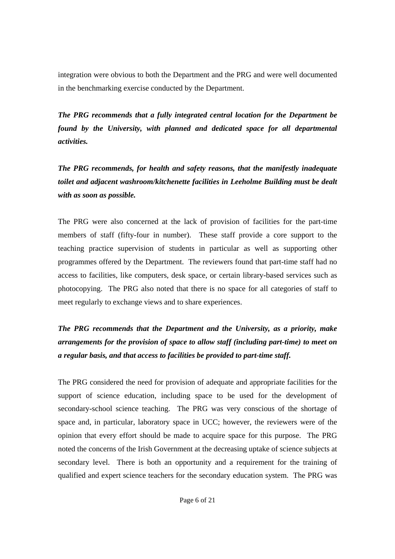integration were obvious to both the Department and the PRG and were well documented in the benchmarking exercise conducted by the Department.

*The PRG recommends that a fully integrated central location for the Department be found by the University, with planned and dedicated space for all departmental activities.* 

*The PRG recommends, for health and safety reasons, that the manifestly inadequate toilet and adjacent washroom/kitchenette facilities in Leeholme Building must be dealt with as soon as possible.* 

The PRG were also concerned at the lack of provision of facilities for the part-time members of staff (fifty-four in number). These staff provide a core support to the teaching practice supervision of students in particular as well as supporting other programmes offered by the Department. The reviewers found that part-time staff had no access to facilities, like computers, desk space, or certain library-based services such as photocopying. The PRG also noted that there is no space for all categories of staff to meet regularly to exchange views and to share experiences.

*The PRG recommends that the Department and the University, as a priority, make arrangements for the provision of space to allow staff (including part-time) to meet on a regular basis, and that access to facilities be provided to part-time staff.* 

The PRG considered the need for provision of adequate and appropriate facilities for the support of science education, including space to be used for the development of secondary-school science teaching. The PRG was very conscious of the shortage of space and, in particular, laboratory space in UCC; however, the reviewers were of the opinion that every effort should be made to acquire space for this purpose. The PRG noted the concerns of the Irish Government at the decreasing uptake of science subjects at secondary level. There is both an opportunity and a requirement for the training of qualified and expert science teachers for the secondary education system. The PRG was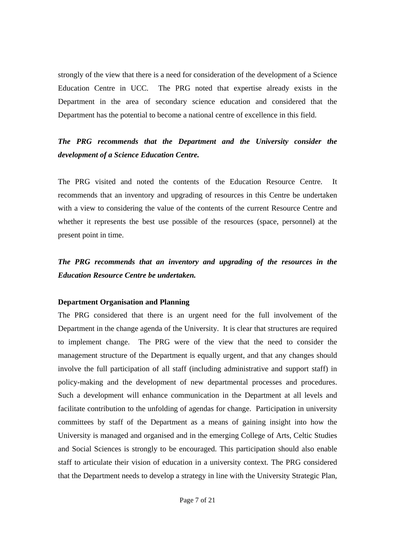strongly of the view that there is a need for consideration of the development of a Science Education Centre in UCC. The PRG noted that expertise already exists in the Department in the area of secondary science education and considered that the Department has the potential to become a national centre of excellence in this field.

# *The PRG recommends that the Department and the University consider the development of a Science Education Centre.*

The PRG visited and noted the contents of the Education Resource Centre. It recommends that an inventory and upgrading of resources in this Centre be undertaken with a view to considering the value of the contents of the current Resource Centre and whether it represents the best use possible of the resources (space, personnel) at the present point in time.

*The PRG recommends that an inventory and upgrading of the resources in the Education Resource Centre be undertaken.* 

## **Department Organisation and Planning**

The PRG considered that there is an urgent need for the full involvement of the Department in the change agenda of the University. It is clear that structures are required to implement change. The PRG were of the view that the need to consider the management structure of the Department is equally urgent, and that any changes should involve the full participation of all staff (including administrative and support staff) in policy-making and the development of new departmental processes and procedures. Such a development will enhance communication in the Department at all levels and facilitate contribution to the unfolding of agendas for change. Participation in university committees by staff of the Department as a means of gaining insight into how the University is managed and organised and in the emerging College of Arts, Celtic Studies and Social Sciences is strongly to be encouraged. This participation should also enable staff to articulate their vision of education in a university context. The PRG considered that the Department needs to develop a strategy in line with the University Strategic Plan,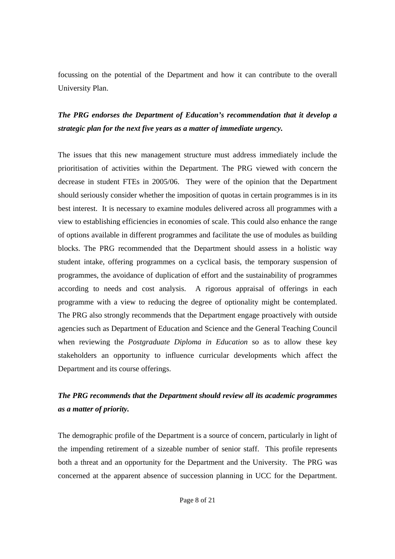focussing on the potential of the Department and how it can contribute to the overall University Plan.

# *The PRG endorses the Department of Education's recommendation that it develop a strategic plan for the next five years as a matter of immediate urgency.*

The issues that this new management structure must address immediately include the prioritisation of activities within the Department. The PRG viewed with concern the decrease in student FTEs in 2005/06. They were of the opinion that the Department should seriously consider whether the imposition of quotas in certain programmes is in its best interest. It is necessary to examine modules delivered across all programmes with a view to establishing efficiencies in economies of scale. This could also enhance the range of options available in different programmes and facilitate the use of modules as building blocks. The PRG recommended that the Department should assess in a holistic way student intake, offering programmes on a cyclical basis, the temporary suspension of programmes, the avoidance of duplication of effort and the sustainability of programmes according to needs and cost analysis. A rigorous appraisal of offerings in each programme with a view to reducing the degree of optionality might be contemplated. The PRG also strongly recommends that the Department engage proactively with outside agencies such as Department of Education and Science and the General Teaching Council when reviewing the *Postgraduate Diploma in Education* so as to allow these key stakeholders an opportunity to influence curricular developments which affect the Department and its course offerings.

# *The PRG recommends that the Department should review all its academic programmes as a matter of priority.*

The demographic profile of the Department is a source of concern, particularly in light of the impending retirement of a sizeable number of senior staff. This profile represents both a threat and an opportunity for the Department and the University. The PRG was concerned at the apparent absence of succession planning in UCC for the Department.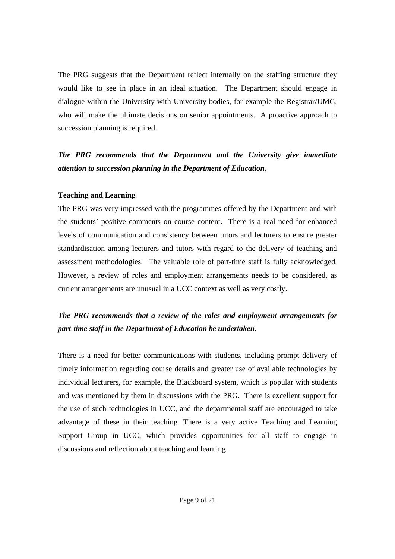The PRG suggests that the Department reflect internally on the staffing structure they would like to see in place in an ideal situation. The Department should engage in dialogue within the University with University bodies, for example the Registrar/UMG, who will make the ultimate decisions on senior appointments. A proactive approach to succession planning is required.

*The PRG recommends that the Department and the University give immediate attention to succession planning in the Department of Education.*

#### **Teaching and Learning**

The PRG was very impressed with the programmes offered by the Department and with the students' positive comments on course content. There is a real need for enhanced levels of communication and consistency between tutors and lecturers to ensure greater standardisation among lecturers and tutors with regard to the delivery of teaching and assessment methodologies. The valuable role of part-time staff is fully acknowledged. However, a review of roles and employment arrangements needs to be considered, as current arrangements are unusual in a UCC context as well as very costly.

# *The PRG recommends that a review of the roles and employment arrangements for part-time staff in the Department of Education be undertaken.*

There is a need for better communications with students, including prompt delivery of timely information regarding course details and greater use of available technologies by individual lecturers, for example, the Blackboard system, which is popular with students and was mentioned by them in discussions with the PRG. There is excellent support for the use of such technologies in UCC, and the departmental staff are encouraged to take advantage of these in their teaching. There is a very active Teaching and Learning Support Group in UCC, which provides opportunities for all staff to engage in discussions and reflection about teaching and learning.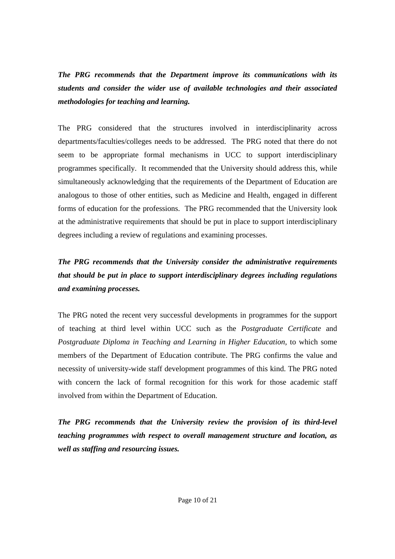*The PRG recommends that the Department improve its communications with its students and consider the wider use of available technologies and their associated methodologies for teaching and learning.* 

The PRG considered that the structures involved in interdisciplinarity across departments/faculties/colleges needs to be addressed. The PRG noted that there do not seem to be appropriate formal mechanisms in UCC to support interdisciplinary programmes specifically. It recommended that the University should address this, while simultaneously acknowledging that the requirements of the Department of Education are analogous to those of other entities, such as Medicine and Health, engaged in different forms of education for the professions. The PRG recommended that the University look at the administrative requirements that should be put in place to support interdisciplinary degrees including a review of regulations and examining processes.

*The PRG recommends that the University consider the administrative requirements that should be put in place to support interdisciplinary degrees including regulations and examining processes.* 

The PRG noted the recent very successful developments in programmes for the support of teaching at third level within UCC such as the *Postgraduate Certificate* and *Postgraduate Diploma in Teaching and Learning in Higher Education*, to which some members of the Department of Education contribute. The PRG confirms the value and necessity of university-wide staff development programmes of this kind. The PRG noted with concern the lack of formal recognition for this work for those academic staff involved from within the Department of Education.

*The PRG recommends that the University review the provision of its third-level teaching programmes with respect to overall management structure and location, as well as staffing and resourcing issues.*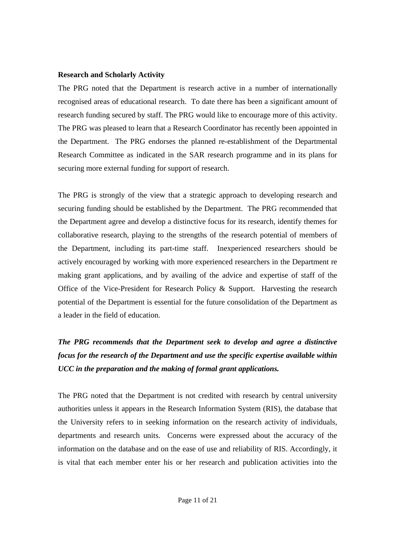#### **Research and Scholarly Activity**

The PRG noted that the Department is research active in a number of internationally recognised areas of educational research. To date there has been a significant amount of research funding secured by staff. The PRG would like to encourage more of this activity. The PRG was pleased to learn that a Research Coordinator has recently been appointed in the Department. The PRG endorses the planned re-establishment of the Departmental Research Committee as indicated in the SAR research programme and in its plans for securing more external funding for support of research.

The PRG is strongly of the view that a strategic approach to developing research and securing funding should be established by the Department. The PRG recommended that the Department agree and develop a distinctive focus for its research, identify themes for collaborative research, playing to the strengths of the research potential of members of the Department, including its part-time staff. Inexperienced researchers should be actively encouraged by working with more experienced researchers in the Department re making grant applications, and by availing of the advice and expertise of staff of the Office of the Vice-President for Research Policy  $\&$  Support. Harvesting the research potential of the Department is essential for the future consolidation of the Department as a leader in the field of education.

# *The PRG recommends that the Department seek to develop and agree a distinctive focus for the research of the Department and use the specific expertise available within UCC in the preparation and the making of formal grant applications.*

The PRG noted that the Department is not credited with research by central university authorities unless it appears in the Research Information System (RIS), the database that the University refers to in seeking information on the research activity of individuals, departments and research units. Concerns were expressed about the accuracy of the information on the database and on the ease of use and reliability of RIS. Accordingly, it is vital that each member enter his or her research and publication activities into the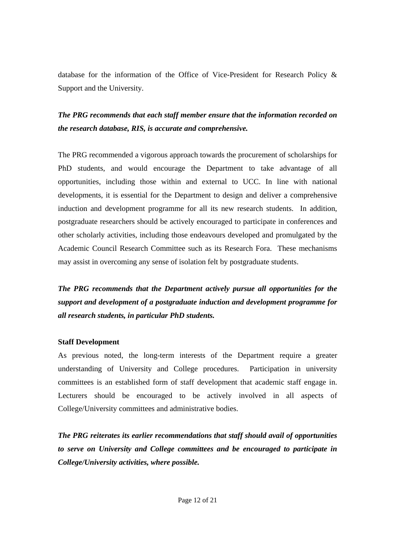database for the information of the Office of Vice-President for Research Policy & Support and the University.

# *The PRG recommends that each staff member ensure that the information recorded on the research database, RIS, is accurate and comprehensive.*

The PRG recommended a vigorous approach towards the procurement of scholarships for PhD students, and would encourage the Department to take advantage of all opportunities, including those within and external to UCC. In line with national developments, it is essential for the Department to design and deliver a comprehensive induction and development programme for all its new research students. In addition, postgraduate researchers should be actively encouraged to participate in conferences and other scholarly activities, including those endeavours developed and promulgated by the Academic Council Research Committee such as its Research Fora. These mechanisms may assist in overcoming any sense of isolation felt by postgraduate students.

*The PRG recommends that the Department actively pursue all opportunities for the support and development of a postgraduate induction and development programme for all research students, in particular PhD students.* 

## **Staff Development**

As previous noted, the long-term interests of the Department require a greater understanding of University and College procedures. Participation in university committees is an established form of staff development that academic staff engage in. Lecturers should be encouraged to be actively involved in all aspects of College/University committees and administrative bodies.

*The PRG reiterates its earlier recommendations that staff should avail of opportunities to serve on University and College committees and be encouraged to participate in College/University activities, where possible.*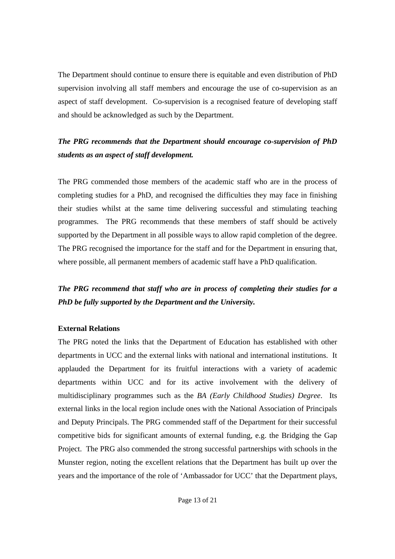The Department should continue to ensure there is equitable and even distribution of PhD supervision involving all staff members and encourage the use of co-supervision as an aspect of staff development. Co-supervision is a recognised feature of developing staff and should be acknowledged as such by the Department.

# *The PRG recommends that the Department should encourage co-supervision of PhD students as an aspect of staff development.*

The PRG commended those members of the academic staff who are in the process of completing studies for a PhD, and recognised the difficulties they may face in finishing their studies whilst at the same time delivering successful and stimulating teaching programmes. The PRG recommends that these members of staff should be actively supported by the Department in all possible ways to allow rapid completion of the degree. The PRG recognised the importance for the staff and for the Department in ensuring that, where possible, all permanent members of academic staff have a PhD qualification.

*The PRG recommend that staff who are in process of completing their studies for a PhD be fully supported by the Department and the University.* 

## **External Relations**

The PRG noted the links that the Department of Education has established with other departments in UCC and the external links with national and international institutions. It applauded the Department for its fruitful interactions with a variety of academic departments within UCC and for its active involvement with the delivery of multidisciplinary programmes such as the *BA (Early Childhood Studies) Degree*. Its external links in the local region include ones with the National Association of Principals and Deputy Principals. The PRG commended staff of the Department for their successful competitive bids for significant amounts of external funding, e.g. the Bridging the Gap Project. The PRG also commended the strong successful partnerships with schools in the Munster region, noting the excellent relations that the Department has built up over the years and the importance of the role of 'Ambassador for UCC' that the Department plays,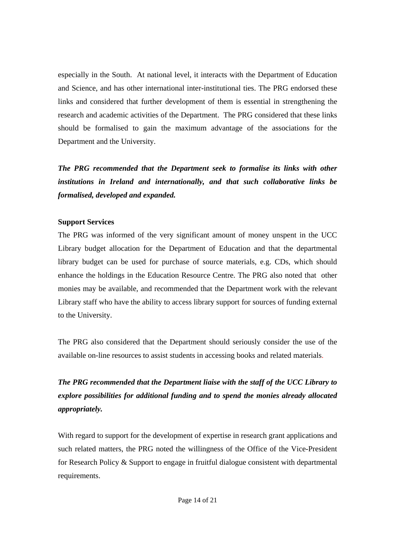especially in the South. At national level, it interacts with the Department of Education and Science, and has other international inter-institutional ties. The PRG endorsed these links and considered that further development of them is essential in strengthening the research and academic activities of the Department. The PRG considered that these links should be formalised to gain the maximum advantage of the associations for the Department and the University.

*The PRG recommended that the Department seek to formalise its links with other institutions in Ireland and internationally, and that such collaborative links be formalised, developed and expanded.* 

# **Support Services**

The PRG was informed of the very significant amount of money unspent in the UCC Library budget allocation for the Department of Education and that the departmental library budget can be used for purchase of source materials, e.g. CDs, which should enhance the holdings in the Education Resource Centre. The PRG also noted that other monies may be available, and recommended that the Department work with the relevant Library staff who have the ability to access library support for sources of funding external to the University.

The PRG also considered that the Department should seriously consider the use of the available on-line resources to assist students in accessing books and related materials.

*The PRG recommended that the Department liaise with the staff of the UCC Library to explore possibilities for additional funding and to spend the monies already allocated appropriately.* 

With regard to support for the development of expertise in research grant applications and such related matters, the PRG noted the willingness of the Office of the Vice-President for Research Policy & Support to engage in fruitful dialogue consistent with departmental requirements.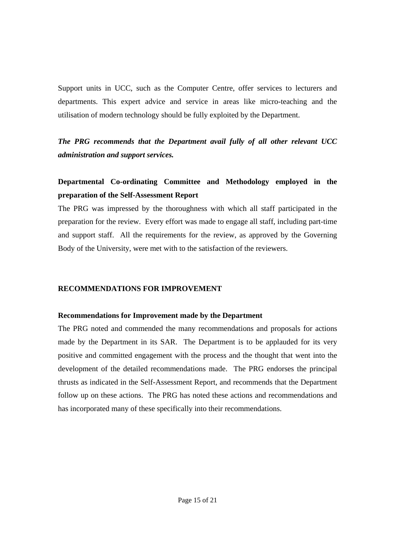Support units in UCC, such as the Computer Centre, offer services to lecturers and departments. This expert advice and service in areas like micro-teaching and the utilisation of modern technology should be fully exploited by the Department.

*The PRG recommends that the Department avail fully of all other relevant UCC administration and support services.* 

# **Departmental Co-ordinating Committee and Methodology employed in the preparation of the Self-Assessment Report**

The PRG was impressed by the thoroughness with which all staff participated in the preparation for the review. Every effort was made to engage all staff, including part-time and support staff. All the requirements for the review, as approved by the Governing Body of the University, were met with to the satisfaction of the reviewers.

## **RECOMMENDATIONS FOR IMPROVEMENT**

#### **Recommendations for Improvement made by the Department**

The PRG noted and commended the many recommendations and proposals for actions made by the Department in its SAR. The Department is to be applauded for its very positive and committed engagement with the process and the thought that went into the development of the detailed recommendations made. The PRG endorses the principal thrusts as indicated in the Self-Assessment Report, and recommends that the Department follow up on these actions. The PRG has noted these actions and recommendations and has incorporated many of these specifically into their recommendations.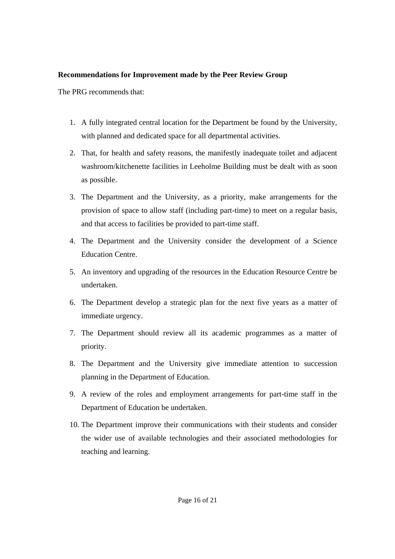## **Recommendations for Improvement made by the Peer Review Group**

The PRG recommends that:

- 1. A fully integrated central location for the Department be found by the University, with planned and dedicated space for all departmental activities.
- 2. That, for health and safety reasons, the manifestly inadequate toilet and adjacent washroom/kitchenette facilities in Leeholme Building must be dealt with as soon as possible.
- 3. The Department and the University, as a priority, make arrangements for the provision of space to allow staff (including part-time) to meet on a regular basis, and that access to facilities be provided to part-time staff.
- 4. The Department and the University consider the development of a Science Education Centre.
- 5. An inventory and upgrading of the resources in the Education Resource Centre be undertaken.
- 6. The Department develop a strategic plan for the next five years as a matter of immediate urgency.
- 7. The Department should review all its academic programmes as a matter of priority.
- 8. The Department and the University give immediate attention to succession planning in the Department of Education.
- 9. A review of the roles and employment arrangements for part-time staff in the Department of Education be undertaken.
- 10. The Department improve their communications with their students and consider the wider use of available technologies and their associated methodologies for teaching and learning.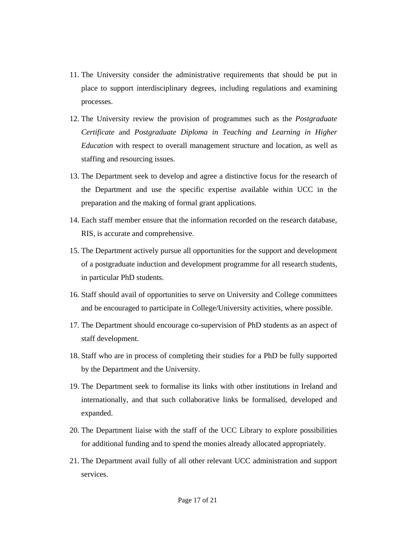- 11. The University consider the administrative requirements that should be put in place to support interdisciplinary degrees, including regulations and examining processes.
- 12. The University review the provision of programmes such as the *Postgraduate Certificate* and *Postgraduate Diploma in Teaching and Learning in Higher Education* with respect to overall management structure and location, as well as staffing and resourcing issues.
- 13. The Department seek to develop and agree a distinctive focus for the research of the Department and use the specific expertise available within UCC in the preparation and the making of formal grant applications.
- 14. Each staff member ensure that the information recorded on the research database, RIS, is accurate and comprehensive.
- 15. The Department actively pursue all opportunities for the support and development of a postgraduate induction and development programme for all research students, in particular PhD students.
- 16. Staff should avail of opportunities to serve on University and College committees and be encouraged to participate in College/University activities, where possible.
- 17. The Department should encourage co-supervision of PhD students as an aspect of staff development.
- 18. Staff who are in process of completing their studies for a PhD be fully supported by the Department and the University.
- 19. The Department seek to formalise its links with other institutions in Ireland and internationally, and that such collaborative links be formalised, developed and expanded.
- 20. The Department liaise with the staff of the UCC Library to explore possibilities for additional funding and to spend the monies already allocated appropriately.
- 21. The Department avail fully of all other relevant UCC administration and support services.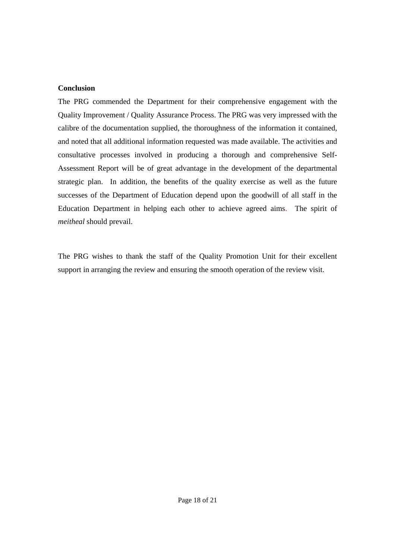## **Conclusion**

The PRG commended the Department for their comprehensive engagement with the Quality Improvement / Quality Assurance Process. The PRG was very impressed with the calibre of the documentation supplied, the thoroughness of the information it contained, and noted that all additional information requested was made available. The activities and consultative processes involved in producing a thorough and comprehensive Self-Assessment Report will be of great advantage in the development of the departmental strategic plan. In addition, the benefits of the quality exercise as well as the future successes of the Department of Education depend upon the goodwill of all staff in the Education Department in helping each other to achieve agreed aims. The spirit of *meitheal* should prevail.

The PRG wishes to thank the staff of the Quality Promotion Unit for their excellent support in arranging the review and ensuring the smooth operation of the review visit.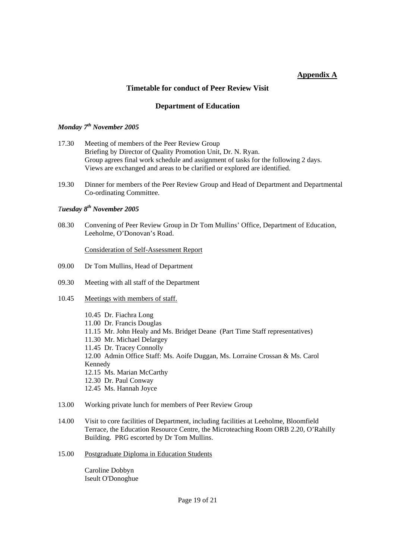## **Appendix A**

#### **Timetable for conduct of Peer Review Visit**

#### **Department of Education**

#### *Monday 7th November 2005*

- 17.30 Meeting of members of the Peer Review Group Briefing by Director of Quality Promotion Unit, Dr. N. Ryan. Group agrees final work schedule and assignment of tasks for the following 2 days. Views are exchanged and areas to be clarified or explored are identified.
- 19.30 Dinner for members of the Peer Review Group and Head of Department and Departmental Co-ordinating Committee.

#### *Tuesday 8th November 2005*

08.30 Convening of Peer Review Group in Dr Tom Mullins' Office, Department of Education, Leeholme, O'Donovan's Road.

Consideration of Self-Assessment Report

- 09.00 Dr Tom Mullins, Head of Department
- 09.30 Meeting with all staff of the Department
- 10.45 Meetings with members of staff.

10.45 Dr. Fiachra Long 11.00 Dr. Francis Douglas 11.15 Mr. John Healy and Ms. Bridget Deane (Part Time Staff representatives) 11.30 Mr. Michael Delargey 11.45 Dr. Tracey Connolly 12.00 Admin Office Staff: Ms. Aoife Duggan, Ms. Lorraine Crossan & Ms. Carol Kennedy 12.15 Ms. Marian McCarthy 12.30 Dr. Paul Conway 12.45 Ms. Hannah Joyce

- 13.00 Working private lunch for members of Peer Review Group
- 14.00 Visit to core facilities of Department, including facilities at Leeholme, Bloomfield Terrace, the Education Resource Centre, the Microteaching Room ORB 2.20, O'Rahilly Building. PRG escorted by Dr Tom Mullins.
- 15.00 Postgraduate Diploma in Education Students

Caroline Dobbyn Iseult O'Donoghue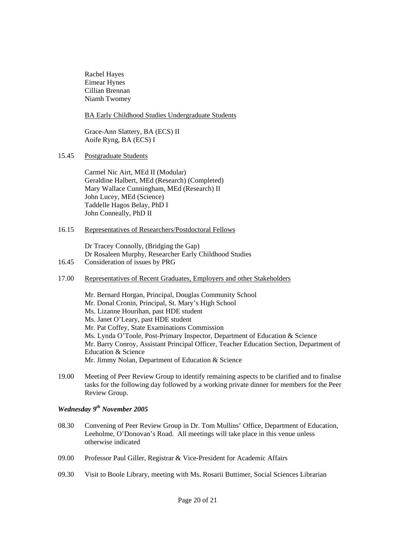Rachel Hayes Eimear Hynes Cillian Brennan Niamh Twomey

#### BA Early Childhood Studies Undergraduate Students

Grace-Ann Slattery, BA (ECS) II Aoife Ryng, BA (ECS) I

15.45 Postgraduate Students

Carmel Nic Airt, MEd II (Modular) Geraldine Halbert, MEd (Research) (Completed) Mary Wallace Cunningham, MEd (Research) II John Lucey, MEd (Science) Taddelle Hagos Belay, PhD I John Conneally, PhD II

#### 16.15 Representatives of Researchers/Postdoctoral Fellows

Dr Tracey Connolly, (Bridging the Gap) Dr Rosaleen Murphy, Researcher Early Childhood Studies

- 16.45 Consideration of issues by PRG
- 17.00 Representatives of Recent Graduates, Employers and other Stakeholders
	- Mr. Bernard Horgan, Principal, Douglas Community School Mr. Donal Cronin, Principal, St. Mary's High School Ms. Lizanne Hourihan, past HDE student Ms. Janet O'Leary, past HDE student Mr. Pat Coffey, State Examinations Commission Ms. Lynda O'Toole, Post-Primary Inspector, Department of Education & Science Mr. Barry Conroy, Assistant Principal Officer, Teacher Education Section, Department of Education & Science Mr. Jimmy Nolan, Department of Education & Science
- 19.00 Meeting of Peer Review Group to identify remaining aspects to be clarified and to finalise tasks for the following day followed by a working private dinner for members for the Peer Review Group.

### *Wednesday 9th November 2005*

- 08.30 Convening of Peer Review Group in Dr. Tom Mullins' Office, Department of Education, Leeholme, O'Donovan's Road. All meetings will take place in this venue unless otherwise indicated
- 09.00 Professor Paul Giller, Registrar & Vice-President for Academic Affairs
- 09.30 Visit to Boole Library, meeting with Ms. Rosarii Buttimer, Social Sciences Librarian